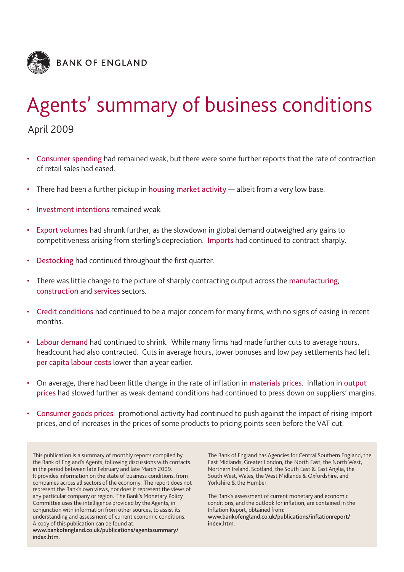

# Agents' summary of business conditions

April 2009

- Consumer spending had remained weak, but there were some further reports that the rate of contraction of retail sales had eased.
- There had been a further pickup in housing market activity albeit from a very low base.
- Investment intentions remained weak.
- Export volumes had shrunk further, as the slowdown in global demand outweighed any gains to competitiveness arising from sterling's depreciation. Imports had continued to contract sharply.
- Destocking had continued throughout the first quarter.
- There was little change to the picture of sharply contracting output across the manufacturing, construction and services sectors.
- Credit conditions had continued to be a major concern for many firms, with no signs of easing in recent months.
- Labour demand had continued to shrink. While many firms had made further cuts to average hours, headcount had also contracted. Cuts in average hours, lower bonuses and low pay settlements had left per capita labour costs lower than a year earlier.
- On average, there had been little change in the rate of inflation in materials prices. Inflation in output prices had slowed further as weak demand conditions had continued to press down on suppliers' margins.
- Consumer goods prices: promotional activity had continued to push against the impact of rising import prices, and of increases in the prices of some products to pricing points seen before the VAT cut.

This publication is a summary of monthly reports compiled by the Bank of England's Agents, following discussions with contacts in the period between late February and late March 2009. It provides information on the state of business conditions, from companies across all sectors of the economy. The report does not represent the Bank's own views, nor does it represent the views of any particular company or region. The Bank's Monetary Policy Committee uses the intelligence provided by the Agents, in conjunction with information from other sources, to assist its understanding and assessment of current economic conditions. A copy of this publication can be found at:

**www.bankofengland.co.uk/publications/agentssummary/ index.htm.**

The Bank of England has Agencies for Central Southern England, the East Midlands, Greater London, the North East, the North West, Northern Ireland, Scotland, the South East & East Anglia, the South West, Wales, the West Midlands & Oxfordshire, and Yorkshire & the Humber.

The Bank's assessment of current monetary and economic conditions, and the outlook for inflation, are contained in the Inflation Report, obtained from: **www.bankofengland.co.uk/publications/inflationreport/ index.htm.**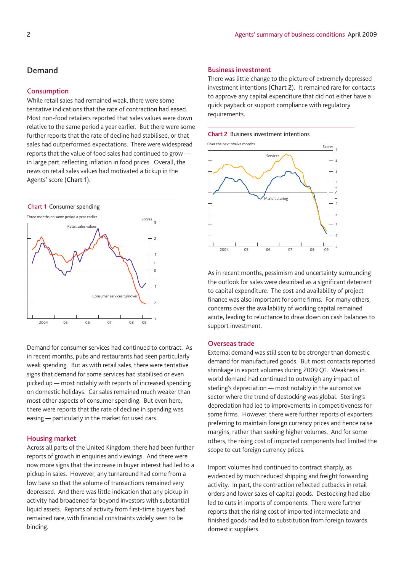# **Demand**

## **Consumption**

While retail sales had remained weak, there were some tentative indications that the rate of contraction had eased. Most non-food retailers reported that sales values were down relative to the same period a year earlier. But there were some further reports that the rate of decline had stabilised, or that sales had outperformed expectations. There were widespread reports that the value of food sales had continued to grow in large part, reflecting inflation in food prices. Overall, the news on retail sales values had motivated a tickup in the Agents' score (**Chart 1**).



Demand for consumer services had continued to contract. As in recent months, pubs and restaurants had seen particularly weak spending. But as with retail sales, there were tentative signs that demand for some services had stabilised or even picked up — most notably with reports of increased spending on domestic holidays. Car sales remained much weaker than most other aspects of consumer spending. But even here, there were reports that the rate of decline in spending was easing — particularly in the market for used cars.

# **Housing market**

Across all parts of the United Kingdom, there had been further reports of growth in enquiries and viewings. And there were now more signs that the increase in buyer interest had led to a pickup in sales. However, any turnaround had come from a low base so that the volume of transactions remained very depressed. And there was little indication that any pickup in activity had broadened far beyond investors with substantial liquid assets. Reports of activity from first-time buyers had remained rare, with financial constraints widely seen to be binding.

## **Business investment**

There was little change to the picture of extremely depressed investment intentions (**Chart 2**). It remained rare for contacts to approve any capital expenditure that did not either have a quick payback or support compliance with regulatory requirements.





As in recent months, pessimism and uncertainty surrounding the outlook for sales were described as a significant deterrent to capital expenditure. The cost and availability of project finance was also important for some firms. For many others, concerns over the availability of working capital remained acute, leading to reluctance to draw down on cash balances to support investment.

# **Overseas trade**

External demand was still seen to be stronger than domestic demand for manufactured goods. But most contacts reported shrinkage in export volumes during 2009 Q1. Weakness in world demand had continued to outweigh any impact of sterling's depreciation — most notably in the automotive sector where the trend of destocking was global. Sterling's depreciation had led to improvements in competitiveness for some firms. However, there were further reports of exporters preferring to maintain foreign currency prices and hence raise margins, rather than seeking higher volumes. And for some others, the rising cost of imported components had limited the scope to cut foreign currency prices.

Import volumes had continued to contract sharply, as evidenced by much reduced shipping and freight forwarding activity. In part, the contraction reflected cutbacks in retail orders and lower sales of capital goods. Destocking had also led to cuts in imports of components. There were further reports that the rising cost of imported intermediate and finished goods had led to substitution from foreign towards domestic suppliers.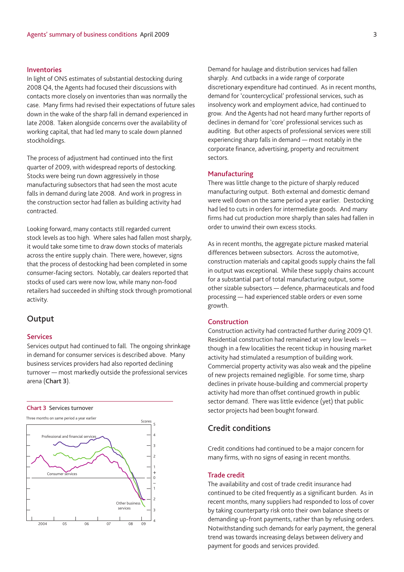## **Inventories**

In light of ONS estimates of substantial destocking during 2008 Q4, the Agents had focused their discussions with contacts more closely on inventories than was normally the case. Many firms had revised their expectations of future sales down in the wake of the sharp fall in demand experienced in late 2008. Taken alongside concerns over the availability of working capital, that had led many to scale down planned stockholdings.

The process of adjustment had continued into the first quarter of 2009, with widespread reports of destocking. Stocks were being run down aggressively in those manufacturing subsectors that had seen the most acute falls in demand during late 2008. And work in progress in the construction sector had fallen as building activity had contracted.

Looking forward, many contacts still regarded current stock levels as too high. Where sales had fallen most sharply, it would take some time to draw down stocks of materials across the entire supply chain. There were, however, signs that the process of destocking had been completed in some consumer-facing sectors. Notably, car dealers reported that stocks of used cars were now low, while many non-food retailers had succeeded in shifting stock through promotional activity.

# **Output**

## **Services**

Services output had continued to fall. The ongoing shrinkage in demand for consumer services is described above. Many business services providers had also reported declining turnover — most markedly outside the professional services arena (**Chart 3**).

**Chart 3** Services turnover



Demand for haulage and distribution services had fallen sharply. And cutbacks in a wide range of corporate discretionary expenditure had continued. As in recent months, demand for 'countercyclical' professional services, such as insolvency work and employment advice, had continued to grow. And the Agents had not heard many further reports of declines in demand for 'core' professional services such as auditing. But other aspects of professional services were still experiencing sharp falls in demand — most notably in the corporate finance, advertising, property and recruitment sectors.

## **Manufacturing**

There was little change to the picture of sharply reduced manufacturing output. Both external and domestic demand were well down on the same period a year earlier. Destocking had led to cuts in orders for intermediate goods. And many firms had cut production more sharply than sales had fallen in order to unwind their own excess stocks.

As in recent months, the aggregate picture masked material differences between subsectors. Across the automotive, construction materials and capital goods supply chains the fall in output was exceptional. While these supply chains account for a substantial part of total manufacturing output, some other sizable subsectors — defence, pharmaceuticals and food processing — had experienced stable orders or even some growth.

## **Construction**

Construction activity had contracted further during 2009 Q1. Residential construction had remained at very low levels though in a few localities the recent tickup in housing market activity had stimulated a resumption of building work. Commercial property activity was also weak and the pipeline of new projects remained negligible. For some time, sharp declines in private house-building and commercial property activity had more than offset continued growth in public sector demand. There was little evidence (yet) that public sector projects had been bought forward.

# **Credit conditions**

Credit conditions had continued to be a major concern for many firms, with no signs of easing in recent months.

## **Trade credit**

The availability and cost of trade credit insurance had continued to be cited frequently as a significant burden. As in recent months, many suppliers had responded to loss of cover by taking counterparty risk onto their own balance sheets or demanding up-front payments, rather than by refusing orders. Notwithstanding such demands for early payment, the general trend was towards increasing delays between delivery and payment for goods and services provided.